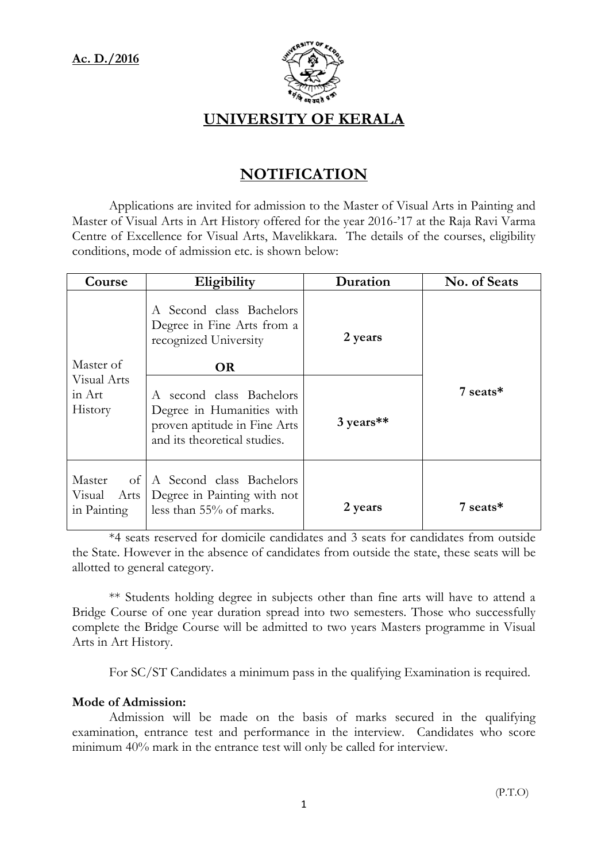

## UNIVERSITY OF KERALA

# NOTIFICATION

 Applications are invited for admission to the Master of Visual Arts in Painting and Master of Visual Arts in Art History offered for the year 2016-'17 at the Raja Ravi Varma Centre of Excellence for Visual Arts, Mavelikkara. The details of the courses, eligibility conditions, mode of admission etc. is shown below:

| Course                                                | Eligibility                                                                                                           | Duration  | No. of Seats |  |
|-------------------------------------------------------|-----------------------------------------------------------------------------------------------------------------------|-----------|--------------|--|
|                                                       | A Second class Bachelors<br>Degree in Fine Arts from a<br>recognized University                                       | 2 years   |              |  |
| Master of                                             | <b>OR</b>                                                                                                             |           |              |  |
| Visual Arts<br>in Art<br>History                      | A second class Bachelors<br>Degree in Humanities with<br>proven aptitude in Fine Arts<br>and its theoretical studies. | 3 years** | 7 seats*     |  |
| $\circ$ of<br>Master<br>Visual<br>Arts<br>in Painting | A Second class Bachelors<br>Degree in Painting with not<br>less than $55\%$ of marks.                                 | 2 years   | 7 seats*     |  |

 \*4 seats reserved for domicile candidates and 3 seats for candidates from outside the State. However in the absence of candidates from outside the state, these seats will be allotted to general category.

 \*\* Students holding degree in subjects other than fine arts will have to attend a Bridge Course of one year duration spread into two semesters. Those who successfully complete the Bridge Course will be admitted to two years Masters programme in Visual Arts in Art History.

For SC/ST Candidates a minimum pass in the qualifying Examination is required.

### Mode of Admission:

 Admission will be made on the basis of marks secured in the qualifying examination, entrance test and performance in the interview. Candidates who score minimum 40% mark in the entrance test will only be called for interview.